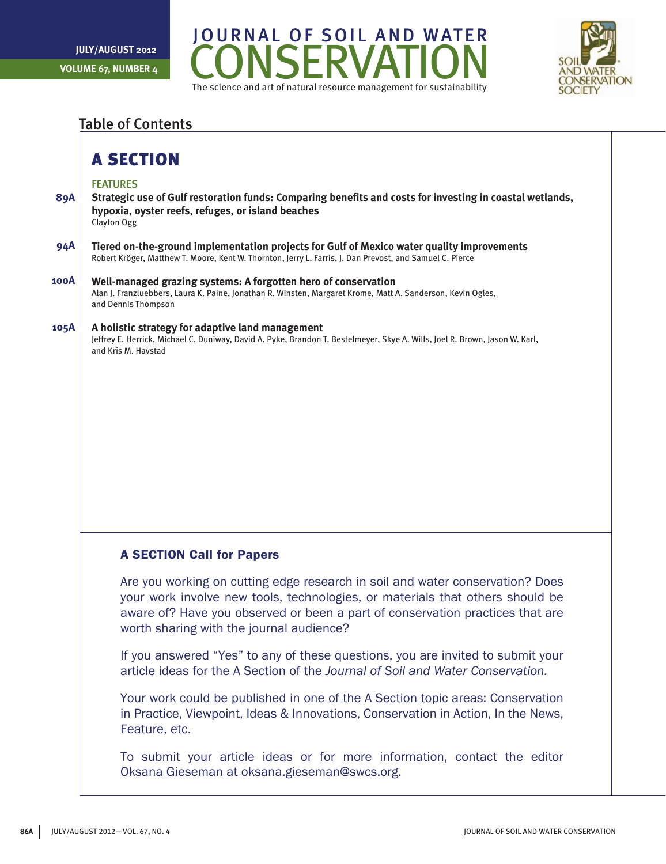



## Table of Contents

## A SECTION

### FEATURES

- **89A Strategic use of Gulf restoration funds: Comparing benefits and costs for investing in coastal wetlands, hypoxia, oyster reefs, refuges, or island beaches** Clayton Ogg
- **94A Tiered on-the-ground implementation projects for Gulf of Mexico water quality improvements** Robert Kröger, Matthew T. Moore, Kent W. Thornton, Jerry L. Farris, J. Dan Prevost, and Samuel C. Pierce
- **100A Well-managed grazing systems: A forgotten hero of conservation** Alan J. Franzluebbers, Laura K. Paine, Jonathan R. Winsten, Margaret Krome, Matt A. Sanderson, Kevin Ogles, and Dennis Thompson

#### **105A A holistic strategy for adaptive land management**

Jeffrey E. Herrick, Michael C. Duniway, David A. Pyke, Brandon T. Bestelmeyer, Skye A. Wills, Joel R. Brown, Jason W. Karl, and Kris M. Havstad

### A SECTION Call for Papers

Are you working on cutting edge research in soil and water conservation? Does your work involve new tools, technologies, or materials that others should be aware of? Have you observed or been a part of conservation practices that are worth sharing with the journal audience?

If you answered "Yes" to any of these questions, you are invited to submit your article ideas for the A Section of the *Journal of Soil and Water Conservation.*

Your work could be published in one of the A Section topic areas: Conservation in Practice, Viewpoint, Ideas & Innovations, Conservation in Action, In the News, Feature, etc.

To submit your article ideas or for more information, contact the editor Oksana Gieseman at oksana.gieseman@swcs.org.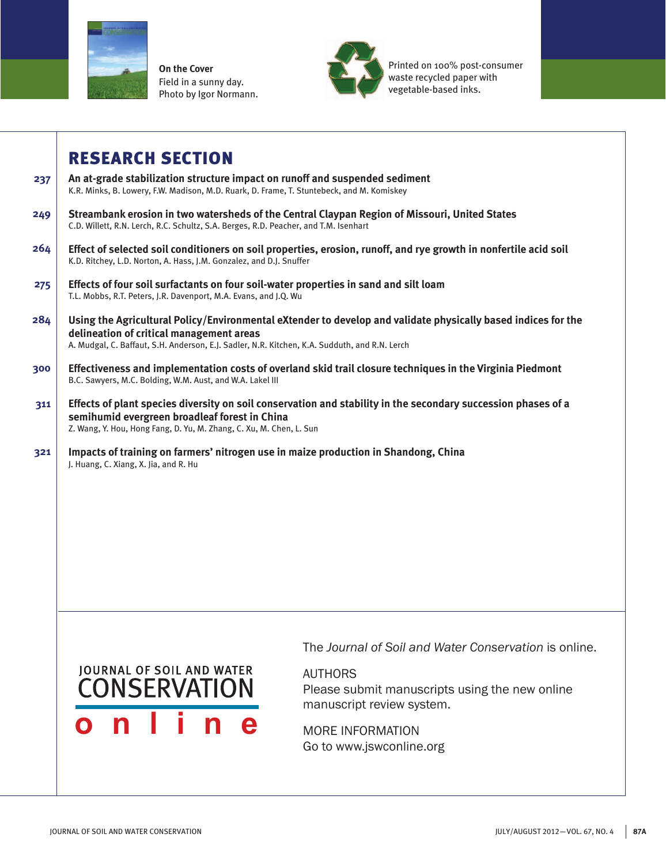

**On the Cover** Field in a sunny day. Photo by Igor Normann.



Printed on 100% post-consumer waste recycled paper with vegetable-based inks.

## RESEARCH SECTION

- **237 An at-grade stabilization structure impact on runoff and suspended sediment** K.R. Minks, B. Lowery, F.W. Madison, M.D. Ruark, D. Frame, T. Stuntebeck, and M. Komiskey
- **249 Streambank erosion in two watersheds of the Central Claypan Region of Missouri, United States** C.D. Willett, R.N. Lerch, R.C. Schultz, S.A. Berges, R.D. Peacher, and T.M. Isenhart
- **264 Effect of selected soil conditioners on soil properties, erosion, runoff, and rye growth in nonfertile acid soil** K.D. Ritchey, L.D. Norton, A. Hass, J.M. Gonzalez, and D.J. Snuffer
- **275 Effects of four soil surfactants on four soil-water properties in sand and silt loam** T.L. Mobbs, R.T. Peters, J.R. Davenport, M.A. Evans, and J.Q. Wu
- **284 Using the Agricultural Policy/Environmental eXtender to develop and validate physically based indices for the delineation of critical management areas** A. Mudgal, C. Baffaut, S.H. Anderson, E.J. Sadler, N.R. Kitchen, K.A. Sudduth, and R.N. Lerch
- **300 Effectiveness and implementation costs of overland skid trail closure techniques in the Virginia Piedmont**  B.C. Sawyers, M.C. Bolding, W.M. Aust, and W.A. Lakel III
- **311 Effects of plant species diversity on soil conservation and stability in the secondary succession phases of a semihumid evergreen broadleaf forest in China** Z. Wang, Y. Hou, Hong Fang, D. Yu, M. Zhang, C. Xu, M. Chen, L. Sun
- **321 Impacts of training on farmers' nitrogen use in maize production in Shandong, China** J. Huang, C. Xiang, X. Jia, and R. Hu

# **JOURNAL OF SOIL AND WATER** CONSERVATION **online**

The *Journal of Soil and Water Conservation* is online.

AUTHORS

Please submit manuscripts using the new online manuscript review system.

MORE INFORMATION Go to www.jswconline.org